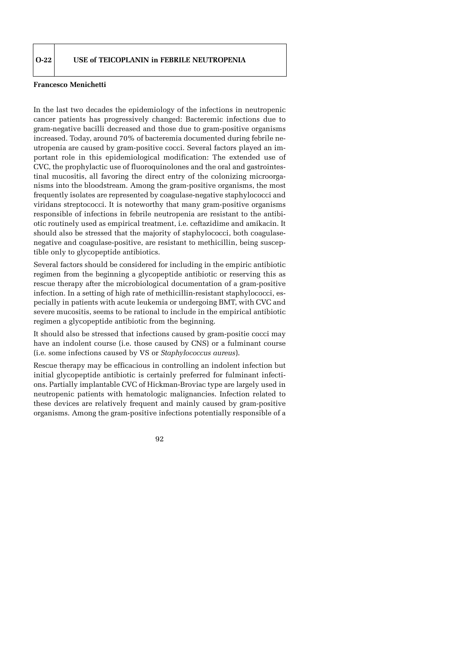## **Francesco Menichetti**

In the last two decades the epidemiology of the infections in neutropenic cancer patients has progressively changed: Bacteremic infections due to gram-negative bacilli decreased and those due to gram-positive organisms increased. Today, around 70% of bacteremia documented during febrile neutropenia are caused by gram-positive cocci. Several factors played an important role in this epidemiological modification: The extended use of CVC, the prophylactic use of fluoroquinolones and the oral and gastrointestinal mucositis, all favoring the direct entry of the colonizing microorganisms into the bloodstream. Among the gram-positive organisms, the most frequently isolates are represented by coagulase-negative staphylococci and viridans streptococci. It is noteworthy that many gram-positive organisms responsible of infections in febrile neutropenia are resistant to the antibiotic routinely used as empirical treatment, i.e. ceftazidime and amikacin. It should also be stressed that the majority of staphylococci, both coagulasenegative and coagulase-positive, are resistant to methicillin, being susceptible only to glycopeptide antibiotics.

Several factors should be considered for including in the empiric antibiotic regimen from the beginning a glycopeptide antibiotic or reserving this as rescue therapy after the microbiological documentation of a gram-positive infection. In a setting of high rate of methicillin-resistant staphylococci, especially in patients with acute leukemia or undergoing BMT, with CVC and severe mucositis, seems to be rational to include in the empirical antibiotic regimen a glycopeptide antibiotic from the beginning.

It should also be stressed that infections caused by gram-positie cocci may have an indolent course (i.e. those caused by CNS) or a fulminant course (i.e. some infections caused by VS or *Staphylococcus aureus*).

Rescue therapy may be efficacious in controlling an indolent infection but initial glycopeptide antibiotic is certainly preferred for fulminant infections. Partially implantable CVC of Hickman-Broviac type are largely used in neutropenic patients with hematologic malignancies. Infection related to these devices are relatively frequent and mainly caused by gram-positive organisms. Among the gram-positive infections potentially responsible of a

92